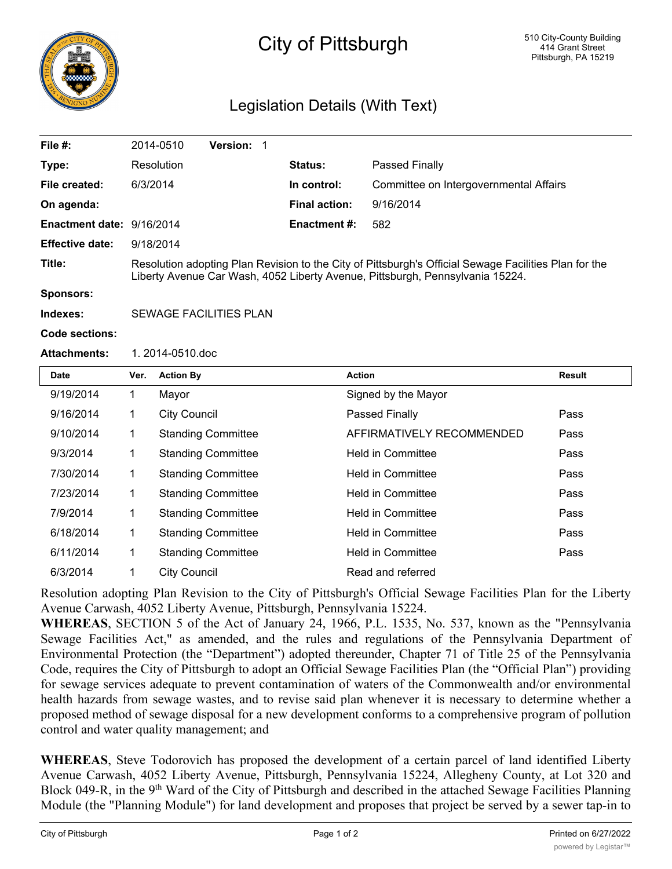

## City of Pittsburgh

## Legislation Details (With Text)

| File #:                   |                                                                                                                                                                                        | 2014-0510           | Version: 1                |  |                      |                                        |        |
|---------------------------|----------------------------------------------------------------------------------------------------------------------------------------------------------------------------------------|---------------------|---------------------------|--|----------------------|----------------------------------------|--------|
| Type:                     |                                                                                                                                                                                        | Resolution          |                           |  | <b>Status:</b>       | Passed Finally                         |        |
| File created:             | 6/3/2014                                                                                                                                                                               |                     |                           |  | In control:          | Committee on Intergovernmental Affairs |        |
| On agenda:                |                                                                                                                                                                                        |                     |                           |  | <b>Final action:</b> | 9/16/2014                              |        |
| Enactment date: 9/16/2014 |                                                                                                                                                                                        |                     |                           |  | <b>Enactment #:</b>  | 582                                    |        |
| <b>Effective date:</b>    | 9/18/2014                                                                                                                                                                              |                     |                           |  |                      |                                        |        |
| Title:                    | Resolution adopting Plan Revision to the City of Pittsburgh's Official Sewage Facilities Plan for the<br>Liberty Avenue Car Wash, 4052 Liberty Avenue, Pittsburgh, Pennsylvania 15224. |                     |                           |  |                      |                                        |        |
| <b>Sponsors:</b>          |                                                                                                                                                                                        |                     |                           |  |                      |                                        |        |
| Indexes:                  | <b>SEWAGE FACILITIES PLAN</b>                                                                                                                                                          |                     |                           |  |                      |                                        |        |
| Code sections:            |                                                                                                                                                                                        |                     |                           |  |                      |                                        |        |
| <b>Attachments:</b>       | 1.2014-0510.doc                                                                                                                                                                        |                     |                           |  |                      |                                        |        |
| <b>Date</b>               | Ver.                                                                                                                                                                                   | <b>Action By</b>    |                           |  |                      | <b>Action</b>                          | Result |
| 9/19/2014                 | $\mathbf{1}$                                                                                                                                                                           | Mayor               |                           |  |                      | Signed by the Mayor                    |        |
| 9/16/2014                 | 1                                                                                                                                                                                      | <b>City Council</b> |                           |  |                      | Passed Finally                         | Pass   |
| 9/10/2014                 | $\mathbf 1$                                                                                                                                                                            |                     | <b>Standing Committee</b> |  |                      | AFFIRMATIVELY RECOMMENDED              | Pass   |
| 9/3/2014                  | 1                                                                                                                                                                                      |                     | <b>Standing Committee</b> |  |                      | <b>Held in Committee</b>               | Pass   |
| 7/30/2014                 | 1                                                                                                                                                                                      |                     | <b>Standing Committee</b> |  |                      | <b>Held in Committee</b>               | Pass   |
| 7/23/2014                 | $\mathbf 1$                                                                                                                                                                            |                     | <b>Standing Committee</b> |  |                      | <b>Held in Committee</b>               | Pass   |
| 7/9/2014                  | 1                                                                                                                                                                                      |                     | <b>Standing Committee</b> |  |                      | <b>Held in Committee</b>               | Pass   |
| 6/18/2014                 | $\mathbf 1$                                                                                                                                                                            |                     | <b>Standing Committee</b> |  |                      | <b>Held in Committee</b>               | Pass   |
| 6/11/2014                 | 1                                                                                                                                                                                      |                     | <b>Standing Committee</b> |  |                      | <b>Held in Committee</b>               | Pass   |
| 6/3/2014                  | 1                                                                                                                                                                                      | <b>City Council</b> |                           |  |                      | Read and referred                      |        |

Resolution adopting Plan Revision to the City of Pittsburgh's Official Sewage Facilities Plan for the Liberty Avenue Carwash, 4052 Liberty Avenue, Pittsburgh, Pennsylvania 15224.

**WHEREAS**, SECTION 5 of the Act of January 24, 1966, P.L. 1535, No. 537, known as the "Pennsylvania Sewage Facilities Act," as amended, and the rules and regulations of the Pennsylvania Department of Environmental Protection (the "Department") adopted thereunder, Chapter 71 of Title 25 of the Pennsylvania Code, requires the City of Pittsburgh to adopt an Official Sewage Facilities Plan (the "Official Plan") providing for sewage services adequate to prevent contamination of waters of the Commonwealth and/or environmental health hazards from sewage wastes, and to revise said plan whenever it is necessary to determine whether a proposed method of sewage disposal for a new development conforms to a comprehensive program of pollution control and water quality management; and

**WHEREAS**, Steve Todorovich has proposed the development of a certain parcel of land identified Liberty Avenue Carwash, 4052 Liberty Avenue, Pittsburgh, Pennsylvania 15224, Allegheny County, at Lot 320 and Block 049-R, in the 9<sup>th</sup> Ward of the City of Pittsburgh and described in the attached Sewage Facilities Planning Module (the "Planning Module") for land development and proposes that project be served by a sewer tap-in to